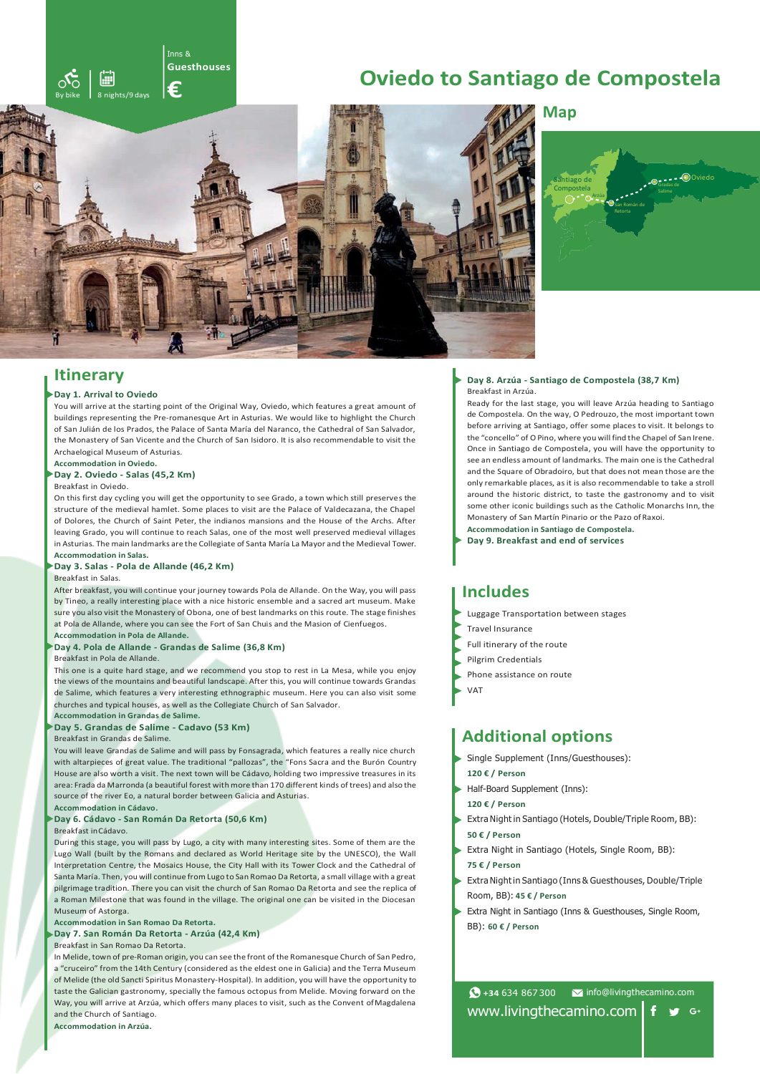# **Oviedo to Santiago de Compostela**



# **Map**



### **Itinerary**

#### **Day 1. Arrival to Oviedo**

You will arrive at the starting point of the Original Way, Oviedo, which features a great amount of buildings representing the Pre-romanesque Art in Asturias. We would like to highlight the Church of San Julián de los Prados, the Palace of Santa María del Naranco, the Cathedral of San Salvador, the Monastery of San Vicente and the Church of San Isidoro. It is also recommendable to visit the Archaelogical Museum of Asturias.

**Accommodation in Oviedo.**

### **Day 2. Oviedo - Salas (45,2 Km)**

By bike 8 nights/9 days

GF

 $\sim$ 

Inns & **Guesthouses**

**€**

### Breakfast in Oviedo.

On this first day cycling you will get the opportunity to see Grado, a town which still preserves the structure of the medieval hamlet. Some places to visit are the Palace of Valdecazana, the Chapel of Dolores, the Church of Saint Peter, the indianos mansions and the House of the Archs. After leaving Grado, you will continue to reach Salas, one of the most well preserved medieval villages in Asturias. The main landmarks are the Collegiate of Santa María La Mayor and the Medieval Tower. **Accommodation in Salas.**

# **Day 3. Salas - Pola de Allande (46,2 Km)**

### Breakfast in Salas.

After breakfast, you will continue your journey towards Pola de Allande. On the Way, you will pass by Tineo, a really interesting place with a nice historic ensemble and a sacred art museum. Make sure you also visit the Monastery of Obona, one of best landmarks on this route. The stage finishes at Pola de Allande, where you can see the Fort of San Chuis and the Masion of Cienfuegos. **Accommodation in Pola de Allande.**

#### **Day 4. Pola de Allande - Grandas de Salime (36,8 Km)**

#### Breakfast in Pola de Allande.

This one is a quite hard stage, and we recommend you stop to rest in La Mesa, while you enjoy the views of the mountains and beautiful landscape. After this, you will continue towards Grandas de Salime, which features a very interesting ethnographic museum. Here you can also visit some churches and typical houses, as well as the Collegiate Church of San Salvador. **Accommodation in Grandas de Salime.**

#### **Day 5. Grandas de Salime - Cadavo (53 Km)**

#### Breakfast in Grandas de Salime.

You will leave Grandas de Salime and will pass by Fonsagrada, which features a really nice church with altarpieces of great value. The traditional "pallozas", the "Fons Sacra and the Burón Country House are also worth a visit. The next town will be Cádavo, holding two impressive treasures in its area: Frada da Marronda (a beautiful forest with more than 170 different kinds of trees) and also the source of the river Eo, a natural border between Galicia and Asturias.

### **Day 6. Cádavo - San Román Da Retorta (50,6 Km)**

Breakfast inCádavo.

**Accommodation in Cádavo.**

During this stage, you will pass by Lugo, a city with many interesting sites. Some of them are the Lugo Wall (built by the Romans and declared as World Heritage site by the UNESCO), the Wall Interpretation Centre, the Mosaics House, the City Hall with its Tower Clock and the Cathedral of Santa María. Then, you will continue from Lugo to San Romao Da Retorta, a small village with a great pilgrimage tradition. There you can visit the church of San Romao Da Retorta and see the replica of a Roman Milestone that was found in the village. The original one can be visited in the Diocesan Museum of Astorga.

### **Accommodation in San Romao Da Retorta.**

**Day 7. San Román Da Retorta - Arzúa (42,4 Km)**

### Breakfast in San Romao Da Retorta.

In Melide, town of pre-Roman origin, you can see the front of the Romanesque Church of San Pedro, a "cruceiro" from the 14th Century (considered as the eldest one in Galicia) and the Terra Museum of Melide (the old Sancti Spiritus Monastery-Hospital). In addition, you will have the opportunity to taste the Galician gastronomy, specially the famous octopus from Melide. Moving forward on the Way, you will arrive at Arzúa, which offers many places to visit, such as the Convent ofMagdalena and the Church of Santiago.

**Accommodation in Arzúa.**

### **Day 8. Arzúa - Santiago de Compostela (38,7 Km)** Breakfast in Arzúa.

Ready for the last stage, you will leave Arzúa heading to Santiago de Compostela. On the way, O Pedrouzo, the most important town before arriving at Santiago, offer some places to visit. It belongs to the "concello" of O Pino, where you will find the Chapel of San Irene. Once in Santiago de Compostela, you will have the opportunity to see an endless amount of landmarks. The main one is the Cathedral and the Square of Obradoiro, but that does not mean those are the only remarkable places, as it is also recommendable to take a stroll around the historic district, to taste the gastronomy and to visit some other iconic buildings such as the Catholic Monarchs Inn, the Monastery of San Martín Pinario or the Pazo of Raxoi.

**Accommodation in Santiago de Compostela. Day 9. Breakfast and end of services**

### **Includes**

- Luggage Transportation between stages
- Travel Insurance
- Full itinerary of the route
- Pilgrim Credentials
- Phone assistance on route
- VAT

# **Additional options**

- Single Supplement (Inns/Guesthouses): **120 € / Person**
- Half-Board Supplement (Inns):
- **120 € / Person**
- Extra Night in Santiago (Hotels, Double/Triple Room, BB): **50 € / Person**
- Extra Night in Santiago (Hotels, Single Room, BB): **75 € / Person**
- Extra Nightin Santiago (Inns & Guesthouses, Double/Triple Room, BB): **45 € / Person**
- Extra Night in Santiago (Inns & Guesthouses, Single Room, BB): **60 € / Person**

**+34** 634 867 300 [info@livingthecamino.com](mailto:info@livingthecamino.com) [www.livingthecamino.com](http://www.livingthecamino.com/)  $f \circ g$  G+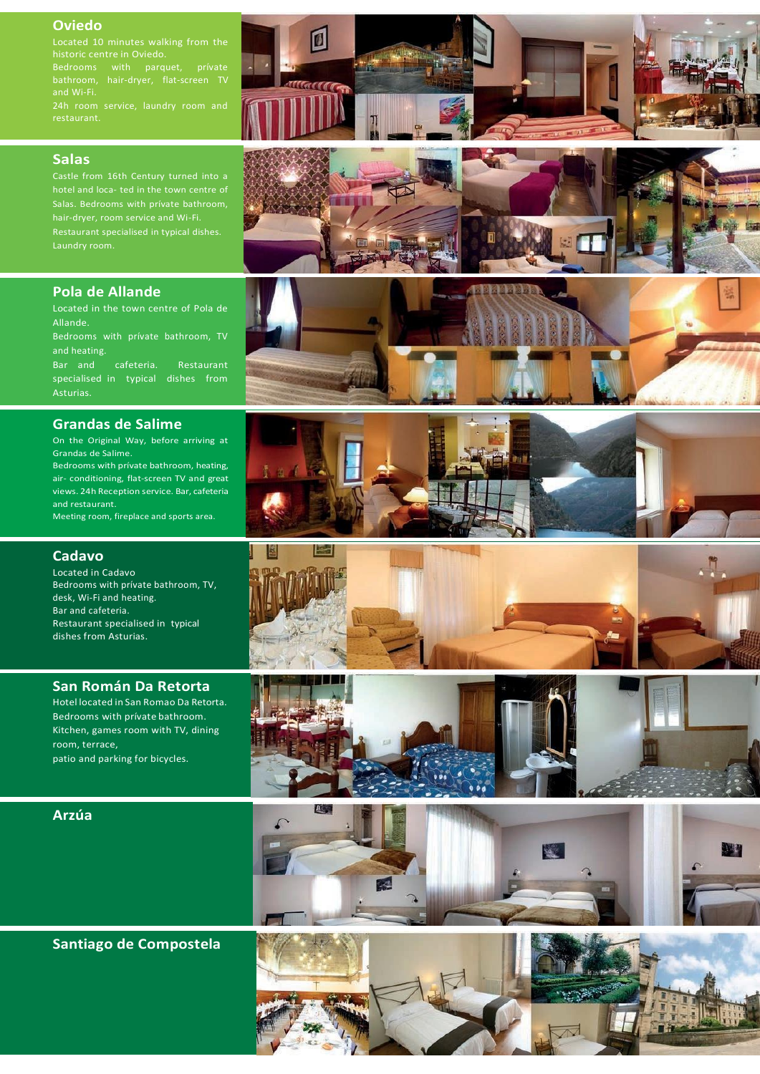### **Oviedo**

Located 10 minutes walking from the

Bedrooms with parquet, prívate bathroom, hair-dryer, flat-screen TV

 $\overline{\mathbf{u}}$ 

 $\mathbf{r}$ 

### **Salas**

Restaurant specialised in typical dishes.

### **Pola de Allande**

Located in the town centre of Pola de Allande.

Bedrooms with prívate bathroom, TV and heating.

Bar and cafeteria. Restaurant specialised in typical dishes from

### **Grandas de Salime**

On the Original Way, before arriving at Grandas de Salime. Bedrooms with prívate bathroom, heating,

air- conditioning, flat-screen TV and great views. 24h Reception service. Bar, cafeteria and restaurant.

Meeting room, fireplace and sports area.

# **Cadavo**

Located in Cadavo Bedrooms with prívate bathroom, TV, desk, Wi-Fi and heating. Bar and cafeteria. Restaurant specialised in typical dishes from Asturias.

### **San Román Da Retorta**

Hotel located in San Romao Da Retorta. Bedrooms with prívate bathroom. Kitchen, games room with TV, dining room, terrace, patio and parking for bicycles.

### **Arzúa**